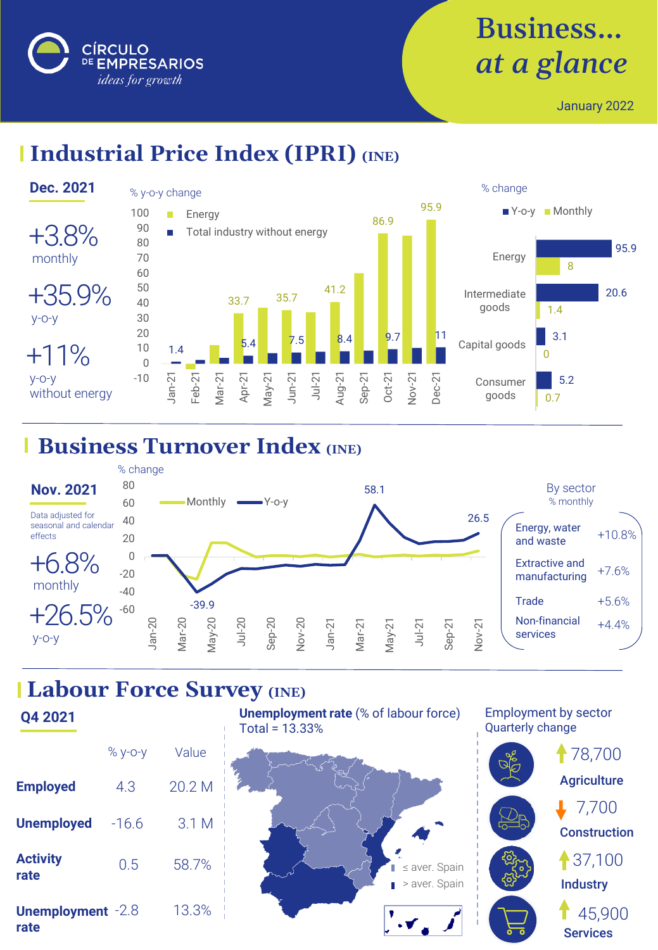

# Business… *at a glance*

January 2022

## **Industrial Price Index (IPRI)** *(INE)*



#### **Business Turnover Index (INE)**



### **Labour Force Survey (INE)**

**Q4 2021 Employed Unemployed Activity rate Unemployment** -2.8 % y-o-y Value 4.3 -16.6 0.5 20.2 M 3.1 M 13.3% 58.7%

**rate**





Employment by sector Quarterly change